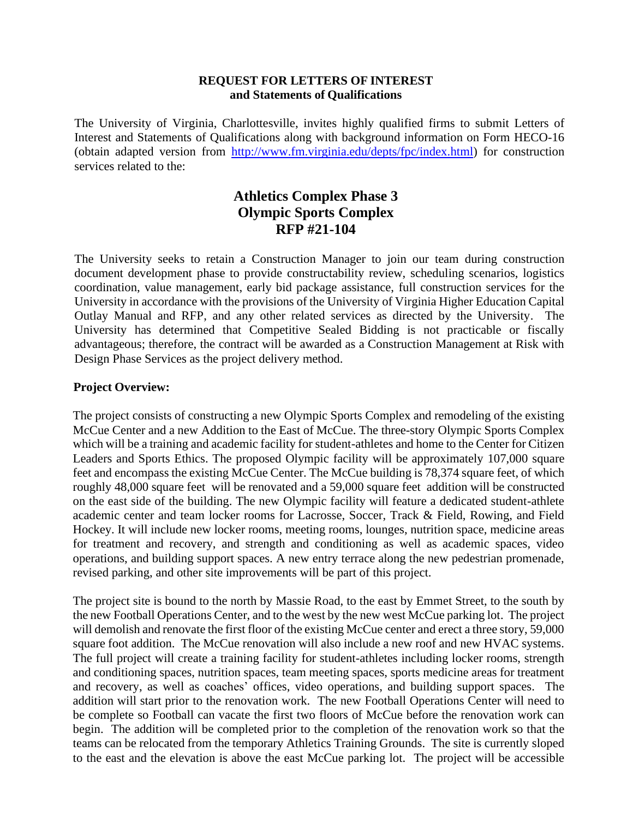## **REQUEST FOR LETTERS OF INTEREST and Statements of Qualifications**

The University of Virginia, Charlottesville, invites highly qualified firms to submit Letters of Interest and Statements of Qualifications along with background information on Form HECO-16 (obtain adapted version from [http://www.fm.virginia.edu/depts/fpc/index.html\)](http://www.fm.virginia.edu/depts/fpc/index.html) for construction services related to the:

# **Athletics Complex Phase 3 Olympic Sports Complex RFP #21-104**

The University seeks to retain a Construction Manager to join our team during construction document development phase to provide constructability review, scheduling scenarios, logistics coordination, value management, early bid package assistance, full construction services for the University in accordance with the provisions of the University of Virginia Higher Education Capital Outlay Manual and RFP, and any other related services as directed by the University. The University has determined that Competitive Sealed Bidding is not practicable or fiscally advantageous; therefore, the contract will be awarded as a Construction Management at Risk with Design Phase Services as the project delivery method.

# **Project Overview:**

The project consists of constructing a new Olympic Sports Complex and remodeling of the existing McCue Center and a new Addition to the East of McCue. The three-story Olympic Sports Complex which will be a training and academic facility for student-athletes and home to the Center for Citizen Leaders and Sports Ethics. The proposed Olympic facility will be approximately 107,000 square feet and encompass the existing McCue Center. The McCue building is 78,374 square feet, of which roughly 48,000 square feet will be renovated and a 59,000 square feet addition will be constructed on the east side of the building. The new Olympic facility will feature a dedicated student-athlete academic center and team locker rooms for Lacrosse, Soccer, Track & Field, Rowing, and Field Hockey. It will include new locker rooms, meeting rooms, lounges, nutrition space, medicine areas for treatment and recovery, and strength and conditioning as well as academic spaces, video operations, and building support spaces. A new entry terrace along the new pedestrian promenade, revised parking, and other site improvements will be part of this project.

The project site is bound to the north by Massie Road, to the east by Emmet Street, to the south by the new Football Operations Center, and to the west by the new west McCue parking lot. The project will demolish and renovate the first floor of the existing McCue center and erect a three story, 59,000 square foot addition. The McCue renovation will also include a new roof and new HVAC systems. The full project will create a training facility for student-athletes including locker rooms, strength and conditioning spaces, nutrition spaces, team meeting spaces, sports medicine areas for treatment and recovery, as well as coaches' offices, video operations, and building support spaces. The addition will start prior to the renovation work. The new Football Operations Center will need to be complete so Football can vacate the first two floors of McCue before the renovation work can begin. The addition will be completed prior to the completion of the renovation work so that the teams can be relocated from the temporary Athletics Training Grounds. The site is currently sloped to the east and the elevation is above the east McCue parking lot. The project will be accessible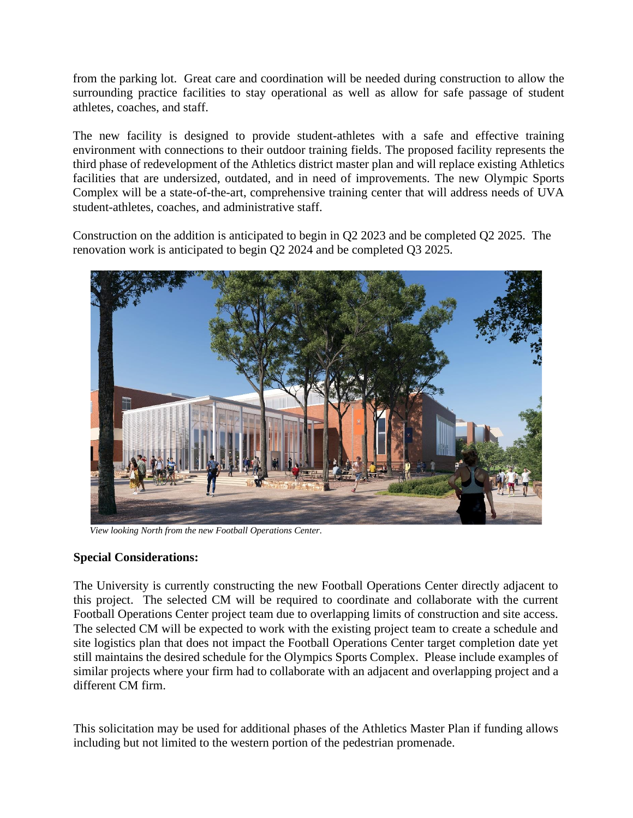from the parking lot. Great care and coordination will be needed during construction to allow the surrounding practice facilities to stay operational as well as allow for safe passage of student athletes, coaches, and staff.

The new facility is designed to provide student-athletes with a safe and effective training environment with connections to their outdoor training fields. The proposed facility represents the third phase of redevelopment of the Athletics district master plan and will replace existing Athletics facilities that are undersized, outdated, and in need of improvements. The new Olympic Sports Complex will be a state-of-the-art, comprehensive training center that will address needs of UVA student-athletes, coaches, and administrative staff.

Construction on the addition is anticipated to begin in Q2 2023 and be completed Q2 2025. The renovation work is anticipated to begin Q2 2024 and be completed Q3 2025.



 *View looking North from the new Football Operations Center.* 

#### **Special Considerations:**

The University is currently constructing the new Football Operations Center directly adjacent to this project. The selected CM will be required to coordinate and collaborate with the current Football Operations Center project team due to overlapping limits of construction and site access. The selected CM will be expected to work with the existing project team to create a schedule and site logistics plan that does not impact the Football Operations Center target completion date yet still maintains the desired schedule for the Olympics Sports Complex. Please include examples of similar projects where your firm had to collaborate with an adjacent and overlapping project and a different CM firm.

This solicitation may be used for additional phases of the Athletics Master Plan if funding allows including but not limited to the western portion of the pedestrian promenade.